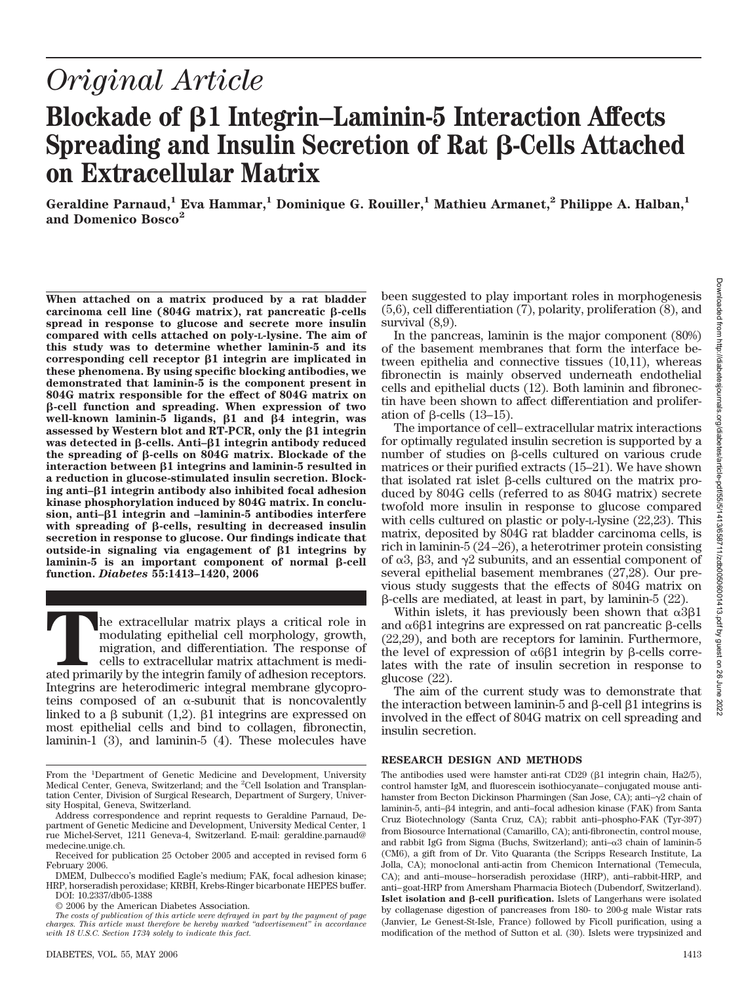# *Original Article*

# **Blockade of 1 Integrin–Laminin-5 Interaction Affects Spreading and Insulin Secretion of Rat ß-Cells Attached on Extracellular Matrix**

**Geraldine Parnaud,1 Eva Hammar,1 Dominique G. Rouiller,1 Mathieu Armanet,2 Philippe A. Halban,1 and Domenico Bosco2**

**When attached on a matrix produced by a rat bladder**  $carcinoma$  cell line  $(804G$  matrix), rat pancreatic  $\beta$ -cells **spread in response to glucose and secrete more insulin compared with cells attached on poly-L-lysine. The aim of this study was to determine whether laminin-5 and its corresponding cell receptor 1 integrin are implicated in these phenomena. By using specific blocking antibodies, we demonstrated that laminin-5 is the component present in 804G matrix responsible for the effect of 804G matrix on -cell function and spreading. When expression of two well-known laminin-5 ligands, 1 and 4 integrin, was assessed by Western blot and RT-PCR, only the 1 integrin was detected in** β-cells. Anti-β1 integrin antibody reduced the spreading of β-cells on 804G matrix. Blockade of the **interaction between 1 integrins and laminin-5 resulted in a reduction in glucose-stimulated insulin secretion. Blocking anti–1 integrin antibody also inhibited focal adhesion kinase phosphorylation induced by 804G matrix. In conclusion, anti–1 integrin and –laminin-5 antibodies interfere** with spreading of  $\beta$ -cells, resulting in decreased insulin **secretion in response to glucose. Our findings indicate that** outside-in signaling via engagement of  $\beta$ 1 integrins by  $laminin-5$  is an important component of normal  $\beta$ -cell **function.** *Diabetes* **55:1413–1420, 2006**

**T**he extracellular matrix plays a critical role in modulating epithelial cell morphology, growth, migration, and differentiation. The response of cells to extracellular matrix attachment is mediated primarily by the integrin family of adhesion receptors. Integrins are heterodimeric integral membrane glycoproteins composed of an  $\alpha$ -subunit that is noncovalently linked to a  $\beta$  subunit (1,2).  $\beta$ 1 integrins are expressed on most epithelial cells and bind to collagen, fibronectin, laminin-1 (3), and laminin-5 (4). These molecules have

been suggested to play important roles in morphogenesis (5,6), cell differentiation (7), polarity, proliferation (8), and survival  $(8,9)$ .

In the pancreas, laminin is the major component (80%) of the basement membranes that form the interface between epithelia and connective tissues (10,11), whereas fibronectin is mainly observed underneath endothelial cells and epithelial ducts (12). Both laminin and fibronectin have been shown to affect differentiation and proliferation of  $\beta$ -cells (13–15).

The importance of cell– extracellular matrix interactions for optimally regulated insulin secretion is supported by a number of studies on  $\beta$ -cells cultured on various crude matrices or their purified extracts (15–21). We have shown that isolated rat islet  $\beta$ -cells cultured on the matrix produced by 804G cells (referred to as 804G matrix) secrete twofold more insulin in response to glucose compared with cells cultured on plastic or poly-L-lysine (22,23). This matrix, deposited by 804G rat bladder carcinoma cells, is rich in laminin-5 (24 –26), a heterotrimer protein consisting of  $\alpha$ 3,  $\beta$ 3, and  $\gamma$ 2 subunits, and an essential component of several epithelial basement membranes (27,28). Our previous study suggests that the effects of 804G matrix on  $\beta$ -cells are mediated, at least in part, by laminin-5 (22).

Within islets, it has previously been shown that  $\alpha 3\beta 1$ and  $\alpha$ 6 $\beta$ 1 integrins are expressed on rat pancreatic  $\beta$ -cells (22,29), and both are receptors for laminin. Furthermore, the level of expression of  $\alpha$ 6 $\beta$ 1 integrin by  $\beta$ -cells correlates with the rate of insulin secretion in response to glucose (22).

The aim of the current study was to demonstrate that the interaction between laminin- $5$  and  $\beta$ -cell  $\beta$ 1 integrins is involved in the effect of 804G matrix on cell spreading and insulin secretion.

## **RESEARCH DESIGN AND METHODS**

The antibodies used were hamster anti-rat  $CD29$  ( $\beta$ 1 integrin chain, Ha2/5), control hamster IgM, and fluorescein isothiocyanate– conjugated mouse antihamster from Becton Dickinson Pharmingen (San Jose, CA); anti- $\gamma$ 2 chain of laminin-5, anti–β4 integrin, and anti–focal adhesion kinase (FAK) from Santa Cruz Biotechnology (Santa Cruz, CA); rabbit anti–phospho-FAK (Tyr-397) from Biosource International (Camarillo, CA); anti-fibronectin, control mouse, and rabbit IgG from Sigma (Buchs, Switzerland); anti- $\alpha$ 3 chain of laminin-5 (CM6), a gift from of Dr. Vito Quaranta (the Scripps Research Institute, La Jolla, CA); monoclonal anti-actin from Chemicon International (Temecula, CA); and anti–mouse– horseradish peroxidase (HRP), anti–rabbit-HRP, and anti– goat-HRP from Amersham Pharmacia Biotech (Dubendorf, Switzerland). **Islet isolation and**  $\beta$ **-cell purification.** Islets of Langerhans were isolated by collagenase digestion of pancreases from 180- to 200-g male Wistar rats (Janvier, Le Genest-St-Isle, France) followed by Ficoll purification, using a modification of the method of Sutton et al. (30). Islets were trypsinized and

From the <sup>1</sup>Department of Genetic Medicine and Development, University<br>Medical Center, Geneva, Switzerland; and the <sup>2</sup>Cell Isolation and Transplantation Center, Division of Surgical Research, Department of Surgery, University Hospital, Geneva, Switzerland.

Address correspondence and reprint requests to Geraldine Parnaud, Department of Genetic Medicine and Development, University Medical Center, 1 rue Michel-Servet, 1211 Geneva-4, Switzerland. E-mail: geraldine.parnaud@ medecine.unige.ch.

Received for publication 25 October 2005 and accepted in revised form 6 February 2006.

DMEM, Dulbecco's modified Eagle's medium; FAK, focal adhesion kinase; HRP, horseradish peroxidase; KRBH, Krebs-Ringer bicarbonate HEPES buffer. DOI: 10.2337/db05-1388

<sup>© 2006</sup> by the American Diabetes Association.

*The costs of publication of this article were defrayed in part by the payment of page charges. This article must therefore be hereby marked "advertisement" in accordance with 18 U.S.C. Section 1734 solely to indicate this fact.*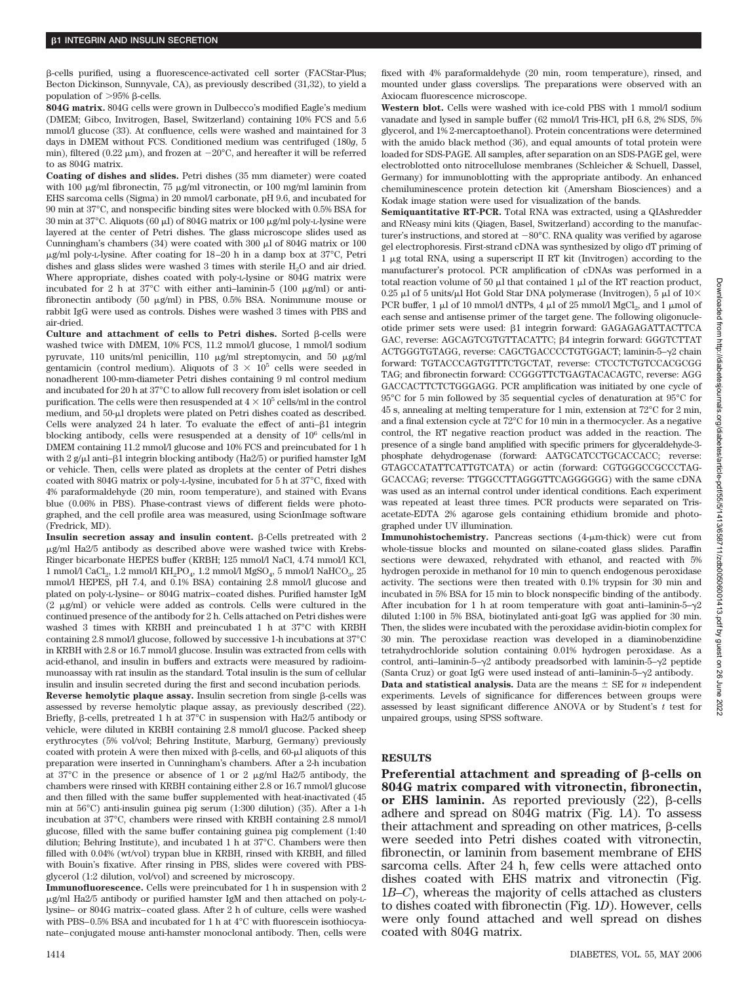--cells purified, using a fluorescence-activated cell sorter (FACStar-Plus; Becton Dickinson, Sunnyvale, CA), as previously described (31,32), to yield a population of  $>95%$   $\beta$ -cells.

**804G matrix.** 804G cells were grown in Dulbecco's modified Eagle's medium (DMEM; Gibco, Invitrogen, Basel, Switzerland) containing 10% FCS and 5.6 mmol/l glucose (33). At confluence, cells were washed and maintained for 3 days in DMEM without FCS. Conditioned medium was centrifuged (180*g*, 5 min), filtered (0.22  $\mu$ m), and frozen at  $-20^{\circ}$ C, and hereafter it will be referred to as 804G matrix.

**Coating of dishes and slides.** Petri dishes (35 mm diameter) were coated with 100  $\mu$ g/ml fibronectin, 75  $\mu$ g/ml vitronectin, or 100 mg/ml laminin from EHS sarcoma cells (Sigma) in 20 mmol/l carbonate, pH 9.6, and incubated for 90 min at 37°C, and nonspecific binding sites were blocked with 0.5% BSA for 30 min at 37 $\degree$ C. Aliquots (60  $\mu$ ) of 804G matrix or 100  $\mu$ g/ml poly-L-lysine were layered at the center of Petri dishes. The glass microscope slides used as Cunningham's chambers (34) were coated with 300  $\upmu$ l of 804G matrix or 100  $\mu$ g/ml poly-L-lysine. After coating for 18–20 h in a damp box at 37°C, Petri dishes and glass slides were washed 3 times with sterile H<sub>2</sub>O and air dried. Where appropriate, dishes coated with poly-L-lysine or 804G matrix were incubated for 2 h at 37°C with either anti-laminin-5 (100  $\mu$ g/ml) or antifibronectin antibody (50  $\mu$ g/ml) in PBS, 0.5% BSA. Nonimmune mouse or rabbit IgG were used as controls. Dishes were washed 3 times with PBS and air-dried.

Culture and attachment of cells to Petri dishes. Sorted  $\beta$ -cells were washed twice with DMEM, 10% FCS, 11.2 mmol/l glucose, 1 mmol/l sodium pyruvate, 110 units/ml penicillin, 110  $\mu$ g/ml streptomycin, and 50  $\mu$ g/ml gentamicin (control medium). Aliquots of  $3 \times 10^5$  cells were seeded in nonadherent 100-mm-diameter Petri dishes containing 9 ml control medium and incubated for 20 h at 37°C to allow full recovery from islet isolation or cell purification. The cells were then resuspended at  $4 \times 10^5$  cells/ml in the control medium, and 50-µl droplets were plated on Petri dishes coated as described. Cells were analyzed  $24$  h later. To evaluate the effect of anti- $\beta$ 1 integrin blocking antibody, cells were resuspended at a density of 10<sup>6</sup> cells/ml in DMEM containing 11.2 mmol/l glucose and 10% FCS and preincubated for 1 h with 2 g/µl anti–β1 integrin blocking antibody (Ha2/5) or purified hamster IgM or vehicle. Then, cells were plated as droplets at the center of Petri dishes coated with 804G matrix or poly-L-lysine, incubated for 5 h at 37°C, fixed with 4% paraformaldehyde (20 min, room temperature), and stained with Evans blue (0.06% in PBS). Phase-contrast views of different fields were photographed, and the cell profile area was measured, using ScionImage software (Fredrick, MD).

**Insulin secretion assay and insulin content.**  $\beta$ -Cells pretreated with 2  $\mu$ g/ml Ha2/5 antibody as described above were washed twice with Krebs-Ringer bicarbonate HEPES buffer (KRBH; 125 mmol/l NaCl, 4.74 mmol/l KCl, 1 mmol/l $\rm CaCl_2$ 1.2 mmol/l $\rm KH_2PO_4$ 1.2 mmol/l $\rm MgSO_4$ 5 mmol/l $\rm NaHCO_3$ 25 mmol/l HEPES, pH 7.4, and 0.1% BSA) containing 2.8 mmol/l glucose and plated on poly-L-lysine– or 804G matrix– coated dishes. Purified hamster IgM  $(2 \mu g/ml)$  or vehicle were added as controls. Cells were cultured in the continued presence of the antibody for 2 h. Cells attached on Petri dishes were washed 3 times with KRBH and preincubated 1 h at 37°C with KRBH containing 2.8 mmol/l glucose, followed by successive 1-h incubations at 37°C in KRBH with 2.8 or 16.7 mmol/l glucose. Insulin was extracted from cells with acid-ethanol, and insulin in buffers and extracts were measured by radioimmunoassay with rat insulin as the standard. Total insulin is the sum of cellular insulin and insulin secreted during the first and second incubation periods.

 $Reverse$  hemolytic plaque assay. Insulin secretion from single  $\beta$ -cells was assessed by reverse hemolytic plaque assay, as previously described (22). Briefly,  $\beta$ -cells, pretreated 1 h at 37 $\degree$ C in suspension with Ha2/5 antibody or vehicle, were diluted in KRBH containing 2.8 mmol/l glucose. Packed sheep erythrocytes (5% vol/vol; Behring Institute, Marburg, Germany) previously coated with protein A were then mixed with  $\beta$ -cells, and 60- $\mu$ l aliquots of this preparation were inserted in Cunningham's chambers. After a 2-h incubation at 37 $^{\circ}$ C in the presence or absence of 1 or 2  $\mu$ g/ml Ha2/5 antibody, the chambers were rinsed with KRBH containing either 2.8 or 16.7 mmol/l glucose and then filled with the same buffer supplemented with heat-inactivated (45 min at 56°C) anti-insulin guinea pig serum (1:300 dilution) (35). After a 1-h incubation at 37°C, chambers were rinsed with KRBH containing 2.8 mmol/l glucose, filled with the same buffer containing guinea pig complement (1:40 dilution; Behring Institute), and incubated 1 h at 37°C. Chambers were then filled with 0.04% (wt/vol) trypan blue in KRBH, rinsed with KRBH, and filled with Bouin's fixative. After rinsing in PBS, slides were covered with PBSglycerol (1:2 dilution, vol/vol) and screened by microscopy.

**Immunofluorescence.** Cells were preincubated for 1 h in suspension with 2 g/ml Ha2/5 antibody or purified hamster IgM and then attached on poly-Llysine– or 804G matrix– coated glass. After 2 h of culture, cells were washed with PBS–0.5% BSA and incubated for 1 h at  $4^{\circ}$ C with fluorescein isothiocyanate– conjugated mouse anti-hamster monoclonal antibody. Then, cells were fixed with 4% paraformaldehyde (20 min, room temperature), rinsed, and mounted under glass coverslips. The preparations were observed with an Axiocam fluorescence microscope.

**Western blot.** Cells were washed with ice-cold PBS with 1 mmol/l sodium vanadate and lysed in sample buffer (62 mmol/l Tris-HCl, pH 6.8, 2% SDS, 5% glycerol, and 1% 2-mercaptoethanol). Protein concentrations were determined with the amido black method (36), and equal amounts of total protein were loaded for SDS-PAGE. All samples, after separation on an SDS-PAGE gel, were electroblotted onto nitrocellulose membranes (Schleicher & Schuell, Dassel, Germany) for immunoblotting with the appropriate antibody. An enhanced chemiluminescence protein detection kit (Amersham Biosciences) and a Kodak image station were used for visualization of the bands.

**Semiquantitative RT-PCR.** Total RNA was extracted, using a QIAshredder and RNeasy mini kits (Qiagen, Basel, Switzerland) according to the manufacturer's instructions, and stored at  $-80^{\circ}$ C. RNA quality was verified by agarose gel electrophoresis. First-strand cDNA was synthesized by oligo dT priming of 1 g total RNA, using a superscript II RT kit (Invitrogen) according to the manufacturer's protocol. PCR amplification of cDNAs was performed in a total reaction volume of 50  $\mu$ l that contained 1  $\mu$ l of the RT reaction product, 0.25 µl of 5 units/µl Hot Gold Star DNA polymerase (Invitrogen), 5 µl of  $10\times$ PCR buffer, 1  $\mu$ l of 10 mmol/l dNTPs, 4  $\mu$ l of 25 mmol/l MgCl<sub>2</sub>, and 1  $\mu$ mol of each sense and antisense primer of the target gene. The following oligonucleotide primer sets were used: β1 integrin forward: GAGAGAGATTACTTCA GAC, reverse: AGCAGTCGTGTTACATTC;  $\beta$ 4 integrin forward: GGGTCTTAT ACTGGGTGTAGG, reverse: CAGCTGACCCCTGTGGACT; laminin-5- $\gamma$ 2 chain forward: TGTACCCAGTGTTTCTGCTAT, reverse: CTCCTCTGTCCACGCGG TAG; and fibronectin forward: CCGGGTTCTGAGTACACAGTC, reverse: AGG GACCACTTCTCTGGGAGG. PCR amplification was initiated by one cycle of 95°C for 5 min followed by 35 sequential cycles of denaturation at 95°C for 45 s, annealing at melting temperature for 1 min, extension at 72°C for 2 min, and a final extension cycle at 72°C for 10 min in a thermocycler. As a negative control, the RT negative reaction product was added in the reaction. The presence of a single band amplified with specific primers for glyceraldehyde-3 phosphate dehydrogenase (forward: AATGCATCCTGCACCACC; reverse: GTAGCCATATTCATTGTCATA) or actin (forward: CGTGGGCCGCCCTAG-GCACCAG; reverse: TTGGCCTTAGGGTTCAGGGGGG) with the same cDNA was used as an internal control under identical conditions. Each experiment was repeated at least three times. PCR products were separated on Trisacetate-EDTA 2% agarose gels containing ethidium bromide and photographed under UV illumination.

**Immunohistochemistry.** Pancreas sections (4-µm-thick) were cut from whole-tissue blocks and mounted on silane-coated glass slides. Paraffin sections were dewaxed, rehydrated with ethanol, and reacted with 5% hydrogen peroxide in methanol for 10 min to quench endogenous peroxidase activity. The sections were then treated with 0.1% trypsin for 30 min and incubated in 5% BSA for 15 min to block nonspecific binding of the antibody. After incubation for 1 h at room temperature with goat anti-laminin-5- $\gamma$ 2 diluted 1:100 in 5% BSA, biotinylated anti-goat IgG was applied for 30 min. Then, the slides were incubated with the peroxidase avidin-biotin complex for 30 min. The peroxidase reaction was developed in a diaminobenzidine tetrahydrochloride solution containing 0.01% hydrogen peroxidase. As a control, anti-laminin-5- $\gamma$ 2 antibody preadsorbed with laminin-5- $\gamma$ 2 peptide (Santa Cruz) or goat IgG were used instead of anti-laminin-5- $\nu$ 2 antibody. **Data and statistical analysis.** Data are the means  $\pm$  SE for *n* independent experiments. Levels of significance for differences between groups were assessed by least significant difference ANOVA or by Student's *t* test for unpaired groups, using SPSS software.

#### **RESULTS**

Preferential attachment and spreading of  $\beta$ -cells on **804G matrix compared with vitronectin, fibronectin,** or EHS laminin. As reported previously  $(22)$ ,  $\beta$ -cells adhere and spread on 804G matrix (Fig. 1*A*). To assess their attachment and spreading on other matrices,  $\beta$ -cells were seeded into Petri dishes coated with vitronectin, fibronectin, or laminin from basement membrane of EHS sarcoma cells. After 24 h, few cells were attached onto dishes coated with EHS matrix and vitronectin (Fig. 1*B*–*C*), whereas the majority of cells attached as clusters to dishes coated with fibronectin (Fig. 1*D*). However, cells were only found attached and well spread on dishes coated with 804G matrix.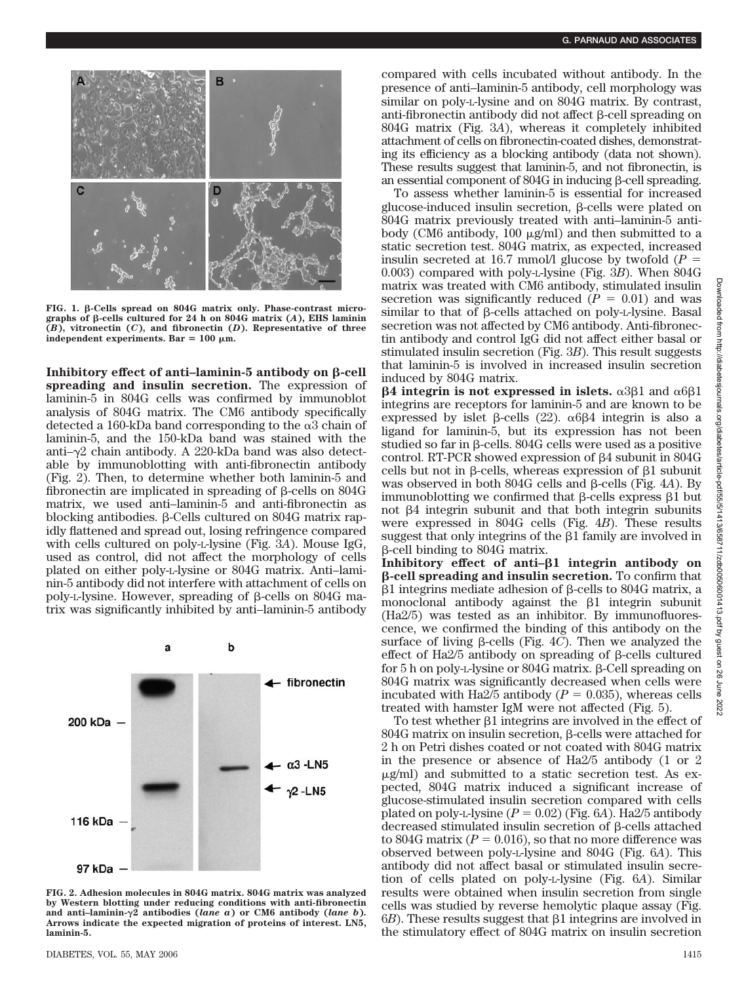

**FIG. 1. -Cells spread on 804G matrix only. Phase-contrast micro**graphs of  $\beta$ -cells cultured for 24 h on 804G matrix  $(A)$ , EHS laminin **(***B***), vitronectin (***C***), and fibronectin (***D***). Representative of three**  $independent$  experiments. Bar = 100  $\mu$ m.

**Inhibitory effect of anti-laminin-5 antibody on**  $\beta$ **-cell spreading and insulin secretion.** The expression of laminin-5 in 804G cells was confirmed by immunoblot analysis of 804G matrix. The CM6 antibody specifically detected a 160-kDa band corresponding to the  $\alpha$ 3 chain of laminin-5, and the 150-kDa band was stained with the anti– $\gamma$ 2 chain antibody. A 220-kDa band was also detectable by immunoblotting with anti-fibronectin antibody (Fig. 2). Then, to determine whether both laminin-5 and fibronectin are implicated in spreading of  $\beta$ -cells on 804G matrix, we used anti–laminin-5 and anti-fibronectin as blocking antibodies.  $\beta$ -Cells cultured on 804G matrix rapidly flattened and spread out, losing refringence compared with cells cultured on poly-L-lysine (Fig. 3*A*). Mouse IgG, used as control, did not affect the morphology of cells plated on either poly-L-lysine or 804G matrix. Anti–laminin-5 antibody did not interfere with attachment of cells on poly-L-lysine. However, spreading of  $\beta$ -cells on 804G matrix was significantly inhibited by anti–laminin-5 antibody



**FIG. 2. Adhesion molecules in 804G matrix. 804G matrix was analyzed by Western blotting under reducing conditions with anti-fibronectin and anti–laminin-2 antibodies (***lane a***) or CM6 antibody (***lane b***). Arrows indicate the expected migration of proteins of interest. LN5, laminin-5.**

compared with cells incubated without antibody. In the presence of anti–laminin-5 antibody, cell morphology was similar on poly-L-lysine and on 804G matrix. By contrast, anti-fibronectin antibody did not affect  $\beta$ -cell spreading on 804G matrix (Fig. 3*A*), whereas it completely inhibited attachment of cells on fibronectin-coated dishes, demonstrating its efficiency as a blocking antibody (data not shown). These results suggest that laminin-5, and not fibronectin, is an essential component of  $804G$  in inducing  $\beta$ -cell spreading.

To assess whether laminin-5 is essential for increased  $glucose$ -induced insulin secretion,  $\beta$ -cells were plated on 804G matrix previously treated with anti–laminin-5 antibody (CM6 antibody,  $100 \mu g/ml$ ) and then submitted to a static secretion test. 804G matrix, as expected, increased insulin secreted at 16.7 mmol/l glucose by twofold  $(P =$ 0.003) compared with poly-L-lysine (Fig. 3*B*). When 804G matrix was treated with CM6 antibody, stimulated insulin secretion was significantly reduced  $(P = 0.01)$  and was  $s$ imilar to that of  $\beta$ -cells attached on poly-L-lysine. Basal secretion was not affected by CM6 antibody. Anti-fibronectin antibody and control IgG did not affect either basal or stimulated insulin secretion (Fig. 3*B*). This result suggests that laminin-5 is involved in increased insulin secretion induced by 804G matrix.

 $\beta$ 4 integrin is not expressed in islets.  $\alpha$ 3 $\beta$ 1 and  $\alpha$ 6 $\beta$ 1 integrins are receptors for laminin-5 and are known to be expressed by islet  $\beta$ -cells (22).  $\alpha$ 6 $\beta$ 4 integrin is also a ligand for laminin-5, but its expression has not been studied so far in β-cells. 804G cells were used as a positive control. RT-PCR showed expression of  $\beta$ 4 subunit in 804G cells but not in  $\beta$ -cells, whereas expression of  $\beta$ 1 subunit was observed in both  $804G$  cells and  $\beta$ -cells (Fig. 4*A*). By immunoblotting we confirmed that  $\beta$ -cells express  $\beta$ 1 but not  $\beta$ 4 integrin subunit and that both integrin subunits were expressed in 804G cells (Fig. 4*B*). These results suggest that only integrins of the  $\beta$ 1 family are involved in β-cell binding to 804G matrix.

**Inhibitory effect of anti–1 integrin antibody on -cell spreading and insulin secretion.** To confirm that  $\beta$ 1 integrins mediate adhesion of  $\beta$ -cells to 804G matrix, a monoclonal antibody against the  $\beta$ 1 integrin subunit (Ha2/5) was tested as an inhibitor. By immunofluorescence, we confirmed the binding of this antibody on the surface of living  $\beta$ -cells (Fig. 4*C*). Then we analyzed the effect of Ha2/5 antibody on spreading of  $\beta$ -cells cultured for  $5$  h on poly-L-lysine or  $804G$  matrix.  $\beta$ -Cell spreading on 804G matrix was significantly decreased when cells were incubated with Ha2/5 antibody  $(P = 0.035)$ , whereas cells treated with hamster IgM were not affected (Fig. 5).

To test whether  $\beta$ 1 integrins are involved in the effect of  $804G$  matrix on insulin secretion,  $\beta$ -cells were attached for 2 h on Petri dishes coated or not coated with 804G matrix in the presence or absence of Ha2/5 antibody (1 or 2  $\mu$ g/ml) and submitted to a static secretion test. As expected, 804G matrix induced a significant increase of glucose-stimulated insulin secretion compared with cells plated on poly-L-lysine  $(P = 0.02)$  (Fig. 6*A*). Ha2/5 antibody decreased stimulated insulin secretion of  $\beta$ -cells attached to 804G matrix  $(P = 0.016)$ , so that no more difference was observed between poly-L-lysine and 804G (Fig. 6*A*). This antibody did not affect basal or stimulated insulin secretion of cells plated on poly-L-lysine (Fig. 6*A*). Similar results were obtained when insulin secretion from single cells was studied by reverse hemolytic plaque assay (Fig.  $6B$ ). These results suggest that  $\beta$ 1 integrins are involved in the stimulatory effect of 804G matrix on insulin secretion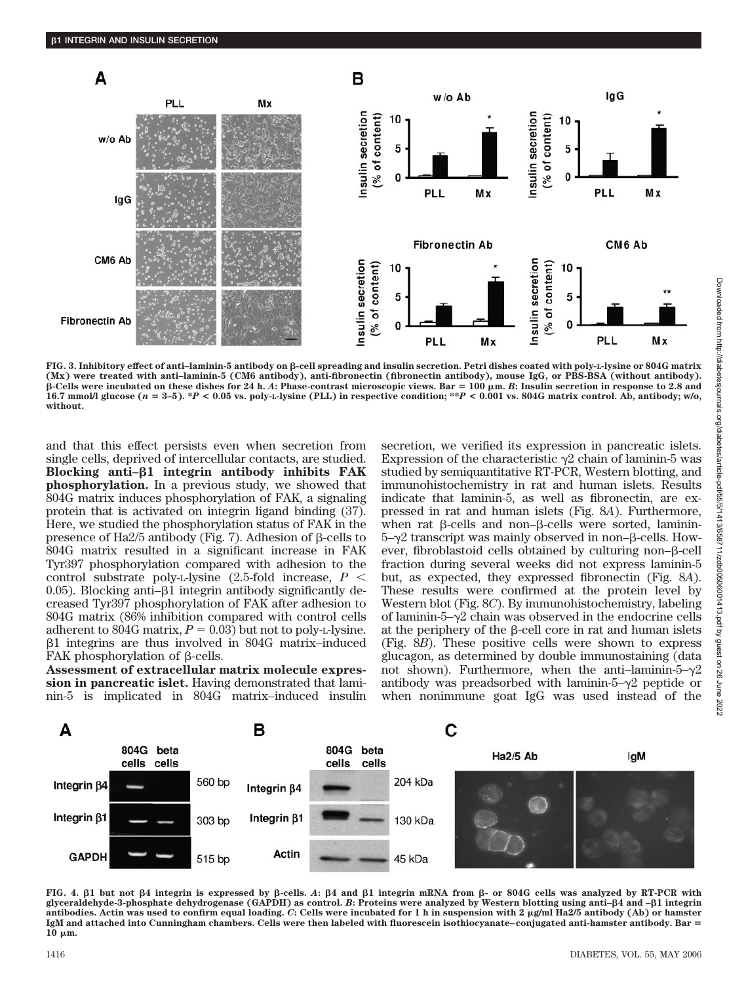

FIG. 3. Inhibitory effect of anti-laminin-5 antibody on  $\beta$ -cell spreading and insulin secretion. Petri dishes coated with poly-L-lysine or 804G matrix **(Mx) were treated with anti–laminin-5 (CM6 antibody), anti-fibronectin (fibronectin antibody), mouse IgG, or PBS-BSA (without antibody). -Cells were incubated on these dishes for 24 h.** *A***: Phase-contrast microscopic views. Bar** - **100 m.** *B***: Insulin secretion in response to 2.8 and 16.7 mmol/l glucose (***n* - **3–5). \****P* **< 0.05 vs. poly-L-lysine (PLL) in respective condition; \*\****P* **< 0.001 vs. 804G matrix control. Ab, antibody; w/o, without.**

and that this effect persists even when secretion from single cells, deprived of intercellular contacts, are studied. **Blocking anti–1 integrin antibody inhibits FAK phosphorylation.** In a previous study, we showed that 804G matrix induces phosphorylation of FAK, a signaling protein that is activated on integrin ligand binding (37). Here, we studied the phosphorylation status of FAK in the presence of Ha2/5 antibody (Fig. 7). Adhesion of  $\beta$ -cells to 804G matrix resulted in a significant increase in FAK Tyr397 phosphorylation compared with adhesion to the control substrate poly-L-lysine (2.5-fold increase, *P*  $0.05$ ). Blocking anti- $\beta$ 1 integrin antibody significantly decreased Tyr397 phosphorylation of FAK after adhesion to 804G matrix (86% inhibition compared with control cells adherent to 804G matrix,  $P = 0.03$  but not to poly-L-lysine. -1 integrins are thus involved in 804G matrix–induced FAK phosphorylation of  $\beta$ -cells.

**Assessment of extracellular matrix molecule expression in pancreatic islet.** Having demonstrated that laminin-5 is implicated in 804G matrix–induced insulin secretion, we verified its expression in pancreatic islets. Expression of the characteristic  $\gamma$ 2 chain of laminin-5 was studied by semiquantitative RT-PCR, Western blotting, and immunohistochemistry in rat and human islets. Results indicate that laminin-5, as well as fibronectin, are expressed in rat and human islets (Fig. 8*A*). Furthermore, when rat  $\beta$ -cells and non- $\beta$ -cells were sorted, laminin- $5-\gamma$ 2 transcript was mainly observed in non- $\beta$ -cells. However, fibroblastoid cells obtained by culturing non- $\beta$ -cell fraction during several weeks did not express laminin-5 but, as expected, they expressed fibronectin (Fig. 8*A*). These results were confirmed at the protein level by Western blot (Fig. 8*C*). By immunohistochemistry, labeling of laminin- $5-\gamma$ <sup>2</sup> chain was observed in the endocrine cells at the periphery of the  $\beta$ -cell core in rat and human islets (Fig. 8*B*). These positive cells were shown to express glucagon, as determined by double immunostaining (data not shown). Furthermore, when the anti-laminin- $5-\gamma 2$ antibody was preadsorbed with laminin- $5-\gamma^2$  peptide or when nonimmune goat IgG was used instead of the



**FIG. 4. 1 but not 4 integrin is expressed by -cells.** *A***: 4 and 1 integrin mRNA from - or 804G cells was analyzed by RT-PCR with glyceraldehyde-3-phosphate dehydrogenase (GAPDH) as control.** *B***: Proteins were analyzed by Western blotting using anti–4 and –1 integrin antibodies. Actin was used to confirm equal loading.** *C***: Cells were incubated for 1 h in suspension with 2 g/ml Ha2/5 antibody (Ab) or hamster IgM and attached into Cunningham chambers. Cells were then labeled with fluorescein isothiocyanate– conjugated anti-hamster antibody. Bar** - **10 m.**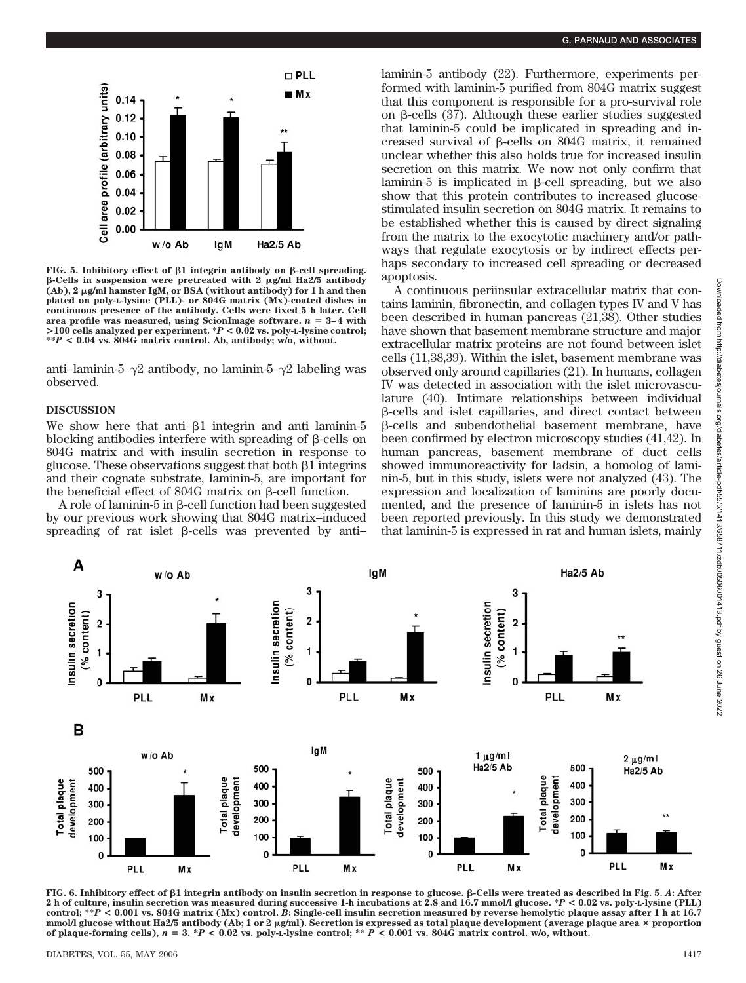

FIG. 5. Inhibitory effect of  $\beta$ 1 integrin antibody on  $\beta$ -cell spreading. **-Cells in suspension were pretreated with 2 g/ml Ha2/5 antibody (Ab), 2 g/ml hamster IgM, or BSA (without antibody) for 1 h and then plated on poly-L-lysine (PLL)- or 804G matrix (Mx)-coated dishes in continuous presence of the antibody. Cells were fixed 5 h later. Cell** area profile was measured, using ScionImage software.  $n = 3-4$  with **>100 cells analyzed per experiment. \****P* **< 0.02 vs. poly-L-lysine control; \*\****P* **< 0.04 vs. 804G matrix control. Ab, antibody; w/o, without.**

anti–laminin-5– $\gamma$ 2 antibody, no laminin-5– $\gamma$ 2 labeling was observed.

# **DISCUSSION**

We show here that anti- $\beta$ 1 integrin and anti-laminin-5 blocking antibodies interfere with spreading of  $\beta$ -cells on 804G matrix and with insulin secretion in response to glucose. These observations suggest that both  $\beta$ 1 integrins and their cognate substrate, laminin-5, are important for the beneficial effect of  $804G$  matrix on  $\beta$ -cell function.

 $A$  role of laminin- $5$  in  $\beta$ -cell function had been suggested by our previous work showing that 804G matrix–induced spreading of rat islet  $\beta$ -cells was prevented by antilaminin-5 antibody (22). Furthermore, experiments performed with laminin-5 purified from 804G matrix suggest that this component is responsible for a pro-survival role on  $\beta$ -cells (37). Although these earlier studies suggested that laminin-5 could be implicated in spreading and increased survival of  $\beta$ -cells on 804G matrix, it remained unclear whether this also holds true for increased insulin secretion on this matrix. We now not only confirm that laminin-5 is implicated in  $\beta$ -cell spreading, but we also show that this protein contributes to increased glucosestimulated insulin secretion on 804G matrix. It remains to be established whether this is caused by direct signaling from the matrix to the exocytotic machinery and/or pathways that regulate exocytosis or by indirect effects perhaps secondary to increased cell spreading or decreased apoptosis.

A continuous periinsular extracellular matrix that contains laminin, fibronectin, and collagen types IV and V has been described in human pancreas (21,38). Other studies have shown that basement membrane structure and major extracellular matrix proteins are not found between islet cells (11,38,39). Within the islet, basement membrane was observed only around capillaries (21). In humans, collagen IV was detected in association with the islet microvasculature (40). Intimate relationships between individual --cells and islet capillaries, and direct contact between --cells and subendothelial basement membrane, have been confirmed by electron microscopy studies (41,42). In human pancreas, basement membrane of duct cells showed immunoreactivity for ladsin, a homolog of laminin-5, but in this study, islets were not analyzed (43). The expression and localization of laminins are poorly documented, and the presence of laminin-5 in islets has not been reported previously. In this study we demonstrated that laminin-5 is expressed in rat and human islets, mainly



**FIG. 6. Inhibitory effect of 1 integrin antibody on insulin secretion in response to glucose. -Cells were treated as described in Fig. 5.** *A***: After 2 h of culture, insulin secretion was measured during successive 1-h incubations at 2.8 and 16.7 mmol/l glucose. \****P* **< 0.02 vs. poly-L-lysine (PLL) control; \*\****P* **< 0.001 vs. 804G matrix (Mx) control.** *B***: Single-cell insulin secretion measured by reverse hemolytic plaque assay after 1 h at 16.7** mmol/l glucose without Ha2/5 antibody (Ab; 1 or 2  $\mu$ g/ml). Secretion is expressed as total plaque development (average plaque area  $\times$  proportion **of plaque-forming cells),** *n* - **3. \****P* **< 0.02 vs. poly-L-lysine control; \*\*** *P* **< 0.001 vs. 804G matrix control. w/o, without.**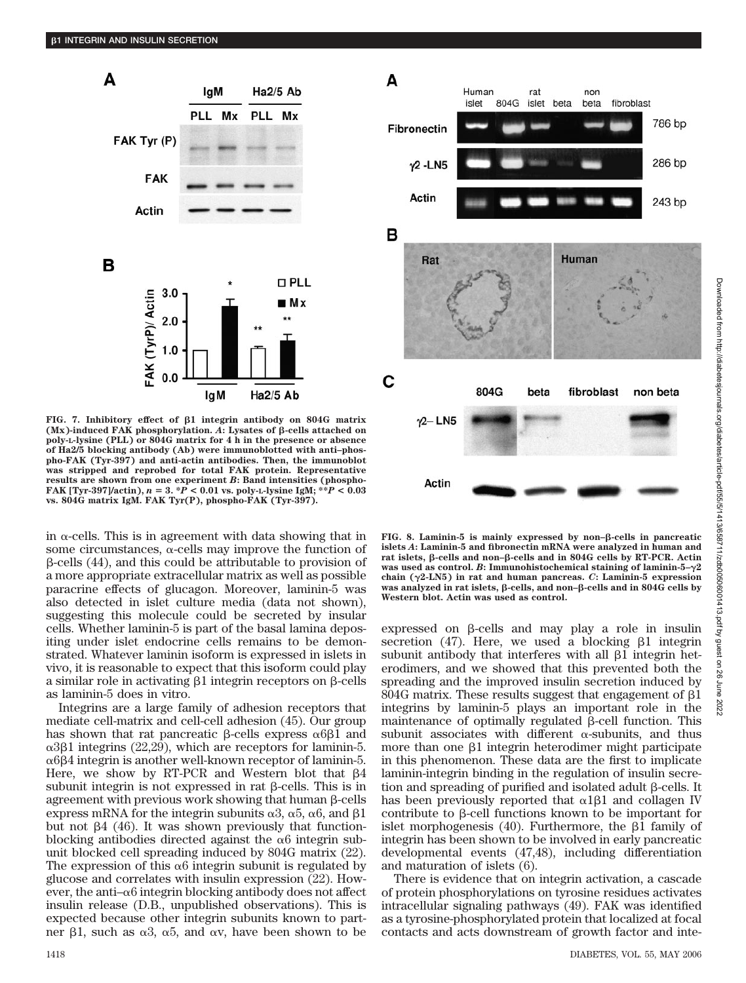

FIG. 7. Inhibitory effect of  $\beta$ 1 integrin antibody on 804G matrix  $(Mx)$ -induced FAK phosphorylation.  $\vec{A}$ : Lysates of  $\beta$ -cells attached on **poly-L-lysine (PLL) or 804G matrix for 4 h in the presence or absence of Ha2/5 blocking antibody (Ab) were immunoblotted with anti–phospho-FAK (Tyr-397) and anti-actin antibodies. Then, the immunoblot was stripped and reprobed for total FAK protein. Representative results are shown from one experiment** *B***: Band intensities (phospho-FAK [Tyr-397]/actin),** *n* - **3. \****P* **< 0.01 vs. poly-L-lysine IgM; \*\****P* **< 0.03 vs. 804G matrix IgM. FAK Tyr(P), phospho-FAK (Tyr-397).**

in  $\alpha$ -cells. This is in agreement with data showing that in some circumstances,  $\alpha$ -cells may improve the function of  $\beta$ -cells (44), and this could be attributable to provision of a more appropriate extracellular matrix as well as possible paracrine effects of glucagon. Moreover, laminin-5 was also detected in islet culture media (data not shown), suggesting this molecule could be secreted by insular cells. Whether laminin-5 is part of the basal lamina depositing under islet endocrine cells remains to be demonstrated. Whatever laminin isoform is expressed in islets in vivo, it is reasonable to expect that this isoform could play a similar role in activating  $\beta$ 1 integrin receptors on  $\beta$ -cells as laminin-5 does in vitro.

Integrins are a large family of adhesion receptors that mediate cell-matrix and cell-cell adhesion (45). Our group has shown that rat pancreatic  $\beta$ -cells express  $\alpha$ 6 $\beta$ 1 and  $\alpha$ 3 $\beta$ 1 integrins (22,29), which are receptors for laminin-5.  $\alpha$ 6 $\beta$ 4 integrin is another well-known receptor of laminin-5. Here, we show by RT-PCR and Western blot that  $\beta$ 4 subunit integrin is not expressed in rat  $\beta$ -cells. This is in agreement with previous work showing that human  $\beta$ -cells express mRNA for the integrin subunits  $\alpha$ 3,  $\alpha$ 5,  $\alpha$ 6, and  $\beta$ 1 but not  $\beta$ 4 (46). It was shown previously that functionblocking antibodies directed against the  $\alpha$ 6 integrin subunit blocked cell spreading induced by 804G matrix (22). The expression of this  $\alpha$ 6 integrin subunit is regulated by glucose and correlates with insulin expression (22). However, the anti- $\alpha$ 6 integrin blocking antibody does not affect insulin release (D.B., unpublished observations). This is expected because other integrin subunits known to partner  $\beta$ 1, such as  $\alpha$ 3,  $\alpha$ 5, and  $\alpha$ v, have been shown to be



**FIG. 8. Laminin-5 is mainly expressed by non–-cells in pancreatic islets** *A***: Laminin-5 and fibronectin mRNA were analyzed in human and rat islets, -cells and non–-cells and in 804G cells by RT-PCR. Actin was used as control. B:** Immunohistochemical staining of laminin- $5-\gamma 2$ **chain (2-LN5) in rat and human pancreas.** *C***: Laminin-5 expression was analyzed in rat islets,**  $\beta$ -cells, and non– $\beta$ -cells and in 804G cells by **Western blot. Actin was used as control.**

 $expressed$  on  $\beta$ -cells and may play a role in insulin secretion  $(47)$ . Here, we used a blocking  $\beta 1$  integrin subunit antibody that interferes with all  $\beta$ 1 integrin heterodimers, and we showed that this prevented both the spreading and the improved insulin secretion induced by  $804G$  matrix. These results suggest that engagement of  $\beta1$ integrins by laminin-5 plays an important role in the maintenance of optimally regulated  $\beta$ -cell function. This subunit associates with different  $\alpha$ -subunits, and thus more than one  $\beta$ 1 integrin heterodimer might participate in this phenomenon. These data are the first to implicate laminin-integrin binding in the regulation of insulin secretion and spreading of purified and isolated adult  $\beta$ -cells. It has been previously reported that  $\alpha$ 1 $\beta$ 1 and collagen IV contribute to  $\beta$ -cell functions known to be important for islet morphogenesis  $(40)$ . Furthermore, the  $\beta$ 1 family of integrin has been shown to be involved in early pancreatic developmental events (47,48), including differentiation and maturation of islets (6).

There is evidence that on integrin activation, a cascade of protein phosphorylations on tyrosine residues activates intracellular signaling pathways (49). FAK was identified as a tyrosine-phosphorylated protein that localized at focal contacts and acts downstream of growth factor and inte-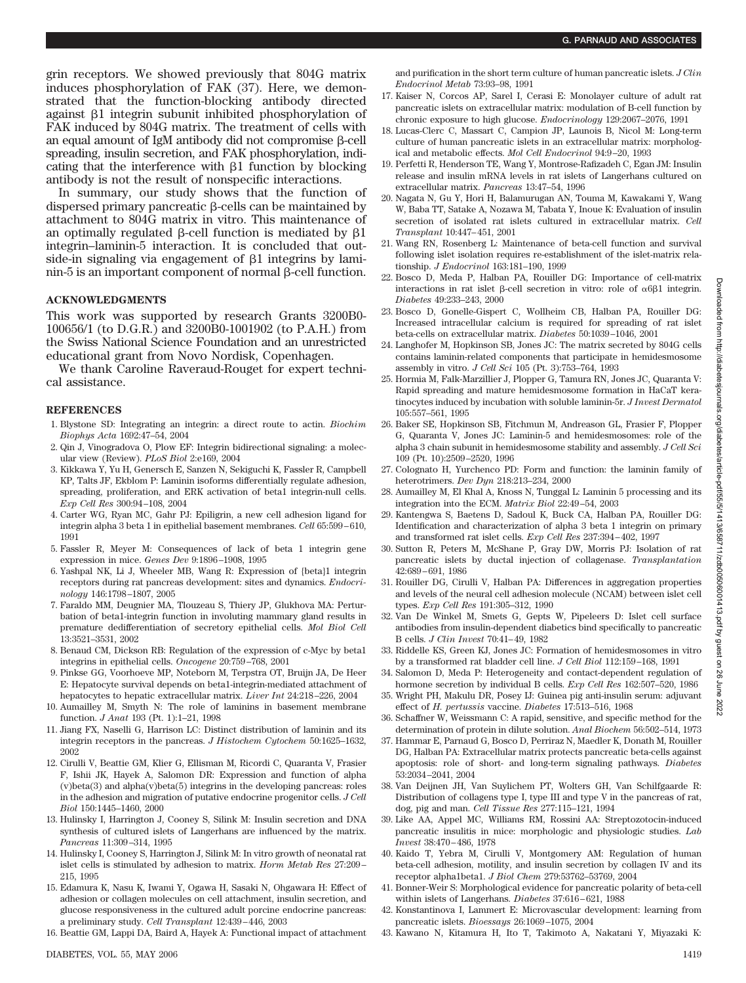grin receptors. We showed previously that 804G matrix induces phosphorylation of FAK (37). Here, we demonstrated that the function-blocking antibody directed against  $\beta$ 1 integrin subunit inhibited phosphorylation of FAK induced by 804G matrix. The treatment of cells with an equal amount of IgM antibody did not compromise  $\beta$ -cell spreading, insulin secretion, and FAK phosphorylation, indicating that the interference with  $\beta$ 1 function by blocking antibody is not the result of nonspecific interactions.

In summary, our study shows that the function of dispersed primary pancreatic  $\beta$ -cells can be maintained by attachment to 804G matrix in vitro. This maintenance of an optimally regulated  $\beta$ -cell function is mediated by  $\beta$ 1 integrin–laminin-5 interaction. It is concluded that outside-in signaling via engagement of  $\beta$ 1 integrins by lami- $\min$ -5 is an important component of normal  $\beta$ -cell function.

#### **ACKNOWLEDGMENTS**

This work was supported by research Grants 3200B0- 100656/1 (to D.G.R.) and 3200B0-1001902 (to P.A.H.) from the Swiss National Science Foundation and an unrestricted educational grant from Novo Nordisk, Copenhagen.

We thank Caroline Raveraud-Rouget for expert technical assistance.

## **REFERENCES**

- 1. Blystone SD: Integrating an integrin: a direct route to actin. *Biochim Biophys Acta* 1692:47–54, 2004
- 2. Qin J, Vinogradova O, Plow EF: Integrin bidirectional signaling: a molecular view (Review). *PLoS Biol* 2:e169, 2004
- 3. Kikkawa Y, Yu H, Genersch E, Sanzen N, Sekiguchi K, Fassler R, Campbell KP, Talts JF, Ekblom P: Laminin isoforms differentially regulate adhesion, spreading, proliferation, and ERK activation of beta1 integrin-null cells. *Exp Cell Res* 300:94 –108, 2004
- 4. Carter WG, Ryan MC, Gahr PJ: Epiligrin, a new cell adhesion ligand for integrin alpha 3 beta 1 in epithelial basement membranes. *Cell* 65:599 – 610, 1991
- 5. Fassler R, Meyer M: Consequences of lack of beta 1 integrin gene expression in mice. *Genes Dev* 9:1896 –1908, 1995
- 6. Yashpal NK, Li J, Wheeler MB, Wang R: Expression of {beta}1 integrin receptors during rat pancreas development: sites and dynamics. *Endocrinology* 146:1798 –1807, 2005
- 7. Faraldo MM, Deugnier MA, Tlouzeau S, Thiery JP, Glukhova MA: Perturbation of beta1-integrin function in involuting mammary gland results in premature dedifferentiation of secretory epithelial cells. *Mol Biol Cell* 13:3521–3531, 2002
- 8. Benaud CM, Dickson RB: Regulation of the expression of c-Myc by beta1 integrins in epithelial cells. *Oncogene* 20:759 –768, 2001
- 9. Pinkse GG, Voorhoeve MP, Noteborn M, Terpstra OT, Bruijn JA, De Heer E: Hepatocyte survival depends on beta1-integrin-mediated attachment of hepatocytes to hepatic extracellular matrix. *Liver Int* 24:218 –226, 2004
- 10. Aumailley M, Smyth N: The role of laminins in basement membrane function. *J Anat* 193 (Pt. 1):1–21, 1998
- 11. Jiang FX, Naselli G, Harrison LC: Distinct distribution of laminin and its integrin receptors in the pancreas. *J Histochem Cytochem* 50:1625–1632, 2002
- 12. Cirulli V, Beattie GM, Klier G, Ellisman M, Ricordi C, Quaranta V, Frasier F, Ishii JK, Hayek A, Salomon DR: Expression and function of alpha (v)beta(3) and alpha(v)beta(5) integrins in the developing pancreas: roles in the adhesion and migration of putative endocrine progenitor cells. *J Cell Biol* 150:1445–1460, 2000
- 13. Hulinsky I, Harrington J, Cooney S, Silink M: Insulin secretion and DNA synthesis of cultured islets of Langerhans are influenced by the matrix. *Pancreas* 11:309 –314, 1995
- 14. Hulinsky I, Cooney S, Harrington J, Silink M: In vitro growth of neonatal rat islet cells is stimulated by adhesion to matrix. *Horm Metab Res* 27:209 – 215, 1995
- 15. Edamura K, Nasu K, Iwami Y, Ogawa H, Sasaki N, Ohgawara H: Effect of adhesion or collagen molecules on cell attachment, insulin secretion, and glucose responsiveness in the cultured adult porcine endocrine pancreas: a preliminary study. *Cell Transplant* 12:439 – 446, 2003
- 16. Beattie GM, Lappi DA, Baird A, Hayek A: Functional impact of attachment

and purification in the short term culture of human pancreatic islets. *J Clin Endocrinol Metab* 73:93–98, 1991

- 17. Kaiser N, Corcos AP, Sarel I, Cerasi E: Monolayer culture of adult rat pancreatic islets on extracellular matrix: modulation of B-cell function by chronic exposure to high glucose. *Endocrinology* 129:2067–2076, 1991
- 18. Lucas-Clerc C, Massart C, Campion JP, Launois B, Nicol M: Long-term culture of human pancreatic islets in an extracellular matrix: morphological and metabolic effects. *Mol Cell Endocrinol* 94:9 –20, 1993
- 19. Perfetti R, Henderson TE, Wang Y, Montrose-Rafizadeh C, Egan JM: Insulin release and insulin mRNA levels in rat islets of Langerhans cultured on extracellular matrix. *Pancreas* 13:47–54, 1996
- 20. Nagata N, Gu Y, Hori H, Balamurugan AN, Touma M, Kawakami Y, Wang W, Baba TT, Satake A, Nozawa M, Tabata Y, Inoue K: Evaluation of insulin secretion of isolated rat islets cultured in extracellular matrix. *Cell Transplant* 10:447– 451, 2001
- 21. Wang RN, Rosenberg L: Maintenance of beta-cell function and survival following islet isolation requires re-establishment of the islet-matrix relationship. *J Endocrinol* 163:181–190, 1999
- 22. Bosco D, Meda P, Halban PA, Rouiller DG: Importance of cell-matrix interactions in rat islet  $\beta$ -cell secretion in vitro: role of  $\alpha\beta\beta$ 1 integrin. *Diabetes* 49:233–243, 2000
- 23. Bosco D, Gonelle-Gispert C, Wollheim CB, Halban PA, Rouiller DG: Increased intracellular calcium is required for spreading of rat islet beta-cells on extracellular matrix. *Diabetes* 50:1039 –1046, 2001
- 24. Langhofer M, Hopkinson SB, Jones JC: The matrix secreted by 804G cells contains laminin-related components that participate in hemidesmosome assembly in vitro. *J Cell Sci* 105 (Pt. 3):753–764, 1993
- 25. Hormia M, Falk-Marzillier J, Plopper G, Tamura RN, Jones JC, Quaranta V: Rapid spreading and mature hemidesmosome formation in HaCaT keratinocytes induced by incubation with soluble laminin-5r. *J Invest Dermatol* 105:557–561, 1995
- 26. Baker SE, Hopkinson SB, Fitchmun M, Andreason GL, Frasier F, Plopper G, Quaranta V, Jones JC: Laminin-5 and hemidesmosomes: role of the alpha 3 chain subunit in hemidesmosome stability and assembly. *J Cell Sci* 109 (Pt. 10):2509 –2520, 1996
- 27. Colognato H, Yurchenco PD: Form and function: the laminin family of heterotrimers. *Dev Dyn* 218:213–234, 2000
- 28. Aumailley M, El Khal A, Knoss N, Tunggal L: Laminin 5 processing and its integration into the ECM. *Matrix Biol* 22:49 –54, 2003
- 29. Kantengwa S, Baetens D, Sadoul K, Buck CA, Halban PA, Rouiller DG: Identification and characterization of alpha 3 beta 1 integrin on primary and transformed rat islet cells. *Exp Cell Res* 237:394 – 402, 1997
- 30. Sutton R, Peters M, McShane P, Gray DW, Morris PJ: Isolation of rat pancreatic islets by ductal injection of collagenase. *Transplantation* 42:689 – 691, 1986
- 31. Rouiller DG, Cirulli V, Halban PA: Differences in aggregation properties and levels of the neural cell adhesion molecule (NCAM) between islet cell types. *Exp Cell Res* 191:305–312, 1990
- 32. Van De Winkel M, Smets G, Gepts W, Pipeleers D: Islet cell surface antibodies from insulin-dependent diabetics bind specifically to pancreatic B cells. *J Clin Invest* 70:41– 49, 1982
- 33. Riddelle KS, Green KJ, Jones JC: Formation of hemidesmosomes in vitro by a transformed rat bladder cell line. *J Cell Biol* 112:159 –168, 1991
- 34. Salomon D, Meda P: Heterogeneity and contact-dependent regulation of hormone secretion by individual B cells. *Exp Cell Res* 162:507–520, 1986
- 35. Wright PH, Makulu DR, Posey IJ: Guinea pig anti-insulin serum: adjuvant effect of *H. pertussis* vaccine. *Diabetes* 17:513–516, 1968
- 36. Schaffner W, Weissmann C: A rapid, sensitive, and specific method for the determination of protein in dilute solution. *Anal Biochem* 56:502–514, 1973
- 37. Hammar E, Parnaud G, Bosco D, Perriraz N, Maedler K, Donath M, Rouiller DG, Halban PA: Extracellular matrix protects pancreatic beta-cells against apoptosis: role of short- and long-term signaling pathways. *Diabetes* 53:2034 –2041, 2004
- 38. Van Deijnen JH, Van Suylichem PT, Wolters GH, Van Schilfgaarde R: Distribution of collagens type I, type III and type V in the pancreas of rat, dog, pig and man. *Cell Tissue Res* 277:115–121, 1994
- 39. Like AA, Appel MC, Williams RM, Rossini AA: Streptozotocin-induced pancreatic insulitis in mice: morphologic and physiologic studies. *Lab Invest* 38:470 – 486, 1978
- 40. Kaido T, Yebra M, Cirulli V, Montgomery AM: Regulation of human beta-cell adhesion, motility, and insulin secretion by collagen IV and its receptor alpha1beta1. *J Biol Chem* 279:53762–53769, 2004
- 41. Bonner-Weir S: Morphological evidence for pancreatic polarity of beta-cell within islets of Langerhans. *Diabetes* 37:616 – 621, 1988
- 42. Konstantinova I, Lammert E: Microvascular development: learning from pancreatic islets. *Bioessays* 26:1069 –1075, 2004
- 43. Kawano N, Kitamura H, Ito T, Takimoto A, Nakatani Y, Miyazaki K: